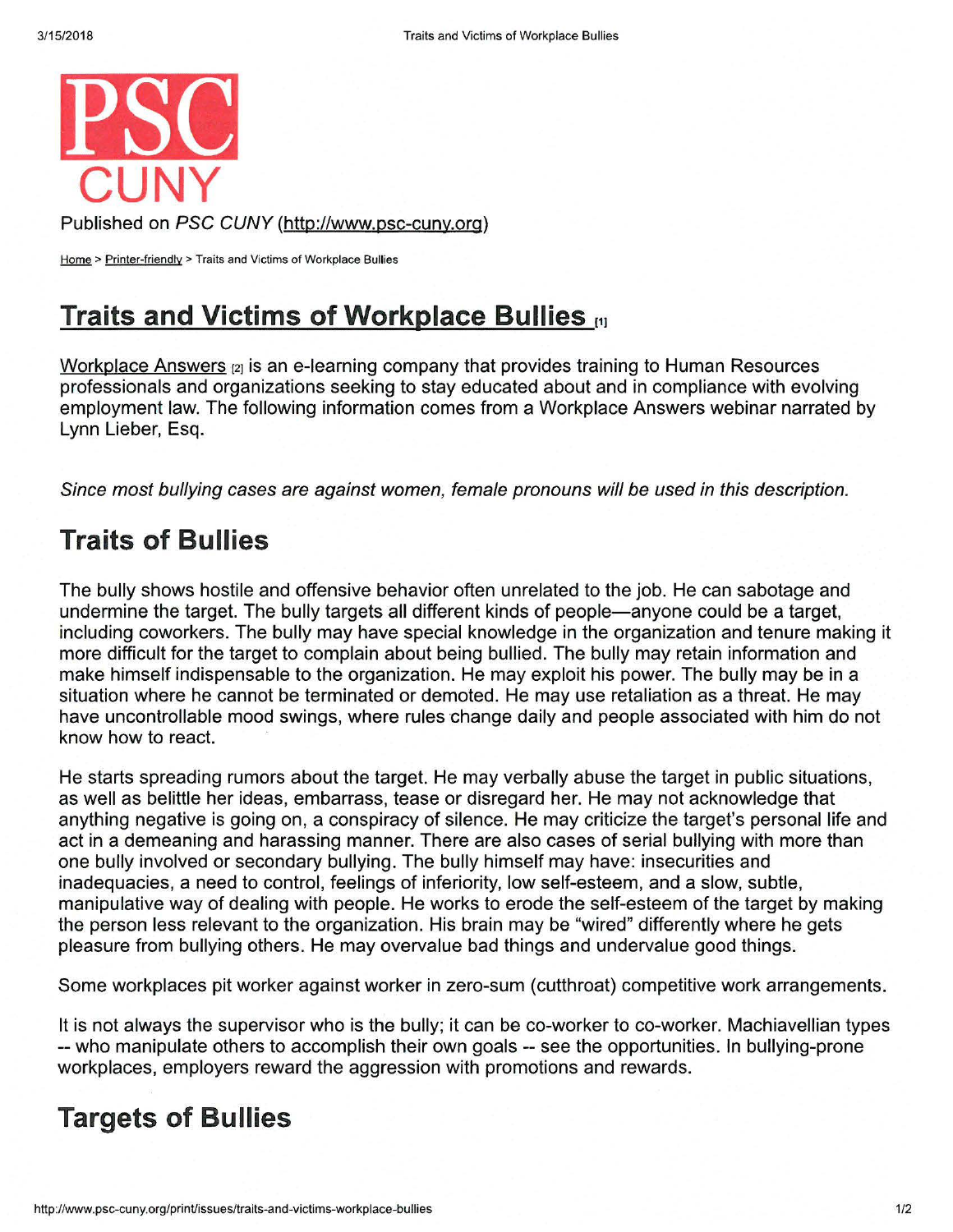

Published on PSC CUNY (http://www.psc-cuny.org)

Home > Printer-friendly > Traits and Victims of Workplace Bullies

## **Traits and Victims of Workplace Bullies** <sup>111</sup>

Workplace Answers  $[2]$  is an e-learning company that provides training to Human Resources professionals and organizations seeking to stay educated about and in compliance with evolving employment law. The following information comes from a Workplace Answers webinar narrated by Lynn Lieber, Esq.

Since most bullying cases are against women, female pronouns will be used in this description.

## **Traits of Bullies**

The bully shows hostile and offensive behavior often unrelated to the job. He can sabotage and undermine the target. The bully targets all different kinds of people—anyone could be a target, including coworkers. The bully may have special knowledge in the organization and tenure making it more difficult for the target to complain about being bullied. The bully may retain information and make himself indispensable to the organization. He may exploit his power. The bully may be in a situation where he cannot be terminated or demoted. He may use retaliation as a threat. He may have uncontrollable mood swings, where rules change daily and people associated with him do not know how to react.

He starts spreading rumors about the target. He may verbally abuse the target in public situations, as well as belittle her ideas, embarrass, tease or disregard her. He may not acknowledge that anything negative is going on, a conspiracy of silence. He may criticize the target's personal life and act in a demeaning and harassing manner. There are also cases of serial bullying with more than one bully involved or secondary bullying. The bully himself may have: insecurities and inadequacies, a need to control, feelings of inferiority, low self-esteem, and a slow, subtle, manipulative way of dealing with people. He works to erode the self-esteem of the target by making the person less relevant to the organization. His brain may be "wired" differently where he gets pleasure from bullying others. He may overvalue bad things and undervalue good things.

Some workplaces pit worker against worker in zero-sum ( cutthroat) competitive work arrangements.

It is not always the supervisor who is the bully; it can be co-worker to co-worker. Machiavellian types -- who manipulate others to accomplish their own goals -- see the opportunities. In bullying-prone workplaces, employers reward the aggression with promotions and rewards.

## **Targets of Bullies**